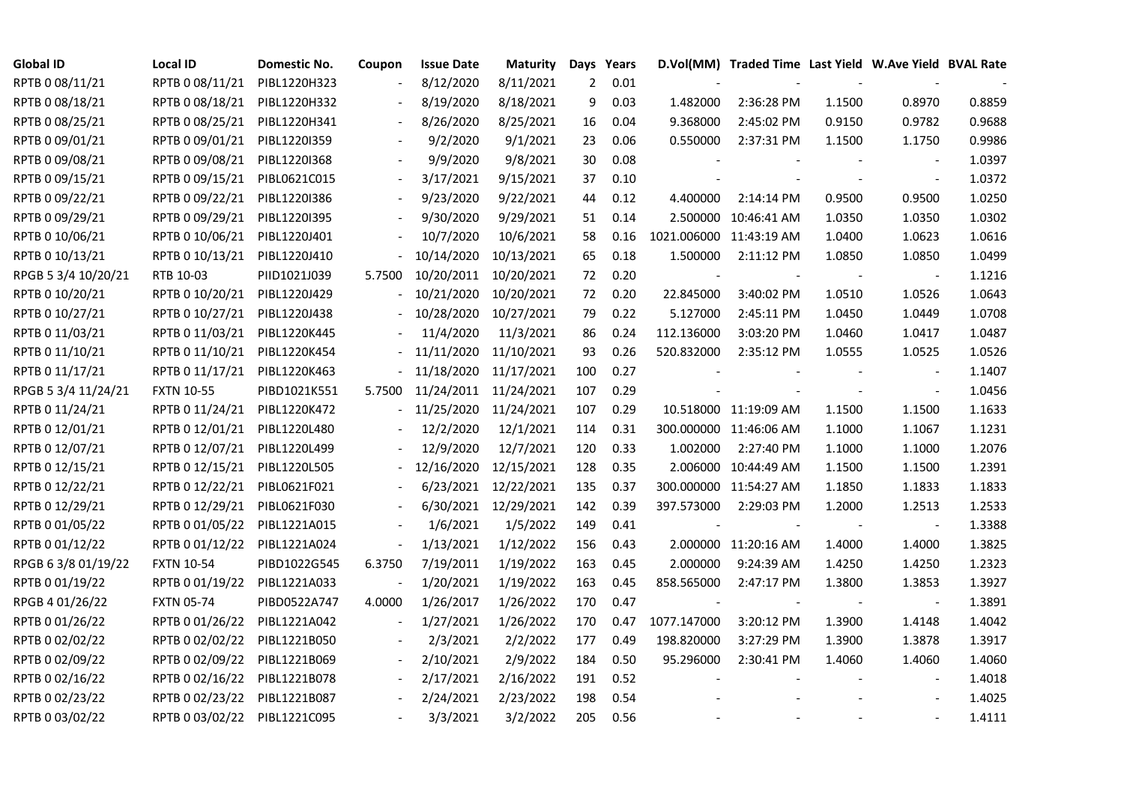| <b>Global ID</b>    | <b>Local ID</b>   | Domestic No. | Coupon                   | <b>Issue Date</b> | <b>Maturity</b>       |                | Days Years |                         | D.Vol(MM) Traded Time Last Yield W.Ave Yield BVAL Rate |        |                          |        |
|---------------------|-------------------|--------------|--------------------------|-------------------|-----------------------|----------------|------------|-------------------------|--------------------------------------------------------|--------|--------------------------|--------|
| RPTB 0 08/11/21     | RPTB 0 08/11/21   | PIBL1220H323 |                          | 8/12/2020         | 8/11/2021             | $\overline{2}$ | 0.01       |                         |                                                        |        |                          |        |
| RPTB 0 08/18/21     | RPTB 0 08/18/21   | PIBL1220H332 |                          | 8/19/2020         | 8/18/2021             | 9              | 0.03       | 1.482000                | 2:36:28 PM                                             | 1.1500 | 0.8970                   | 0.8859 |
| RPTB 0 08/25/21     | RPTB 0 08/25/21   | PIBL1220H341 | $\overline{\phantom{a}}$ | 8/26/2020         | 8/25/2021             | 16             | 0.04       | 9.368000                | 2:45:02 PM                                             | 0.9150 | 0.9782                   | 0.9688 |
| RPTB 0 09/01/21     | RPTB 0 09/01/21   | PIBL1220I359 |                          | 9/2/2020          | 9/1/2021              | 23             | 0.06       | 0.550000                | 2:37:31 PM                                             | 1.1500 | 1.1750                   | 0.9986 |
| RPTB 0 09/08/21     | RPTB 0 09/08/21   | PIBL1220I368 |                          | 9/9/2020          | 9/8/2021              | 30             | 0.08       |                         |                                                        |        |                          | 1.0397 |
| RPTB 0 09/15/21     | RPTB 0 09/15/21   | PIBL0621C015 |                          | 3/17/2021         | 9/15/2021             | 37             | 0.10       |                         |                                                        |        | $\blacksquare$           | 1.0372 |
| RPTB 0 09/22/21     | RPTB 0 09/22/21   | PIBL1220I386 |                          | 9/23/2020         | 9/22/2021             | 44             | 0.12       | 4.400000                | 2:14:14 PM                                             | 0.9500 | 0.9500                   | 1.0250 |
| RPTB 0 09/29/21     | RPTB 0 09/29/21   | PIBL1220I395 |                          | 9/30/2020         | 9/29/2021             | 51             | 0.14       | 2.500000                | 10:46:41 AM                                            | 1.0350 | 1.0350                   | 1.0302 |
| RPTB 0 10/06/21     | RPTB 0 10/06/21   | PIBL1220J401 |                          | 10/7/2020         | 10/6/2021             | 58             | 0.16       | 1021.006000 11:43:19 AM |                                                        | 1.0400 | 1.0623                   | 1.0616 |
| RPTB 0 10/13/21     | RPTB 0 10/13/21   | PIBL1220J410 |                          | 10/14/2020        | 10/13/2021            | 65             | 0.18       | 1.500000                | 2:11:12 PM                                             | 1.0850 | 1.0850                   | 1.0499 |
| RPGB 5 3/4 10/20/21 | RTB 10-03         | PIID1021J039 | 5.7500                   | 10/20/2011        | 10/20/2021            | 72             | 0.20       |                         |                                                        |        | $\overline{\phantom{a}}$ | 1.1216 |
| RPTB 0 10/20/21     | RPTB 0 10/20/21   | PIBL1220J429 |                          | 10/21/2020        | 10/20/2021            | 72             | 0.20       | 22.845000               | 3:40:02 PM                                             | 1.0510 | 1.0526                   | 1.0643 |
| RPTB 0 10/27/21     | RPTB 0 10/27/21   | PIBL1220J438 |                          | 10/28/2020        | 10/27/2021            | 79             | 0.22       | 5.127000                | 2:45:11 PM                                             | 1.0450 | 1.0449                   | 1.0708 |
| RPTB 0 11/03/21     | RPTB 0 11/03/21   | PIBL1220K445 |                          | 11/4/2020         | 11/3/2021             | 86             | 0.24       | 112.136000              | 3:03:20 PM                                             | 1.0460 | 1.0417                   | 1.0487 |
| RPTB 0 11/10/21     | RPTB 0 11/10/21   | PIBL1220K454 |                          | 11/11/2020        | 11/10/2021            | 93             | 0.26       | 520.832000              | 2:35:12 PM                                             | 1.0555 | 1.0525                   | 1.0526 |
| RPTB 0 11/17/21     | RPTB 0 11/17/21   | PIBL1220K463 |                          | 11/18/2020        | 11/17/2021            | 100            | 0.27       |                         |                                                        |        |                          | 1.1407 |
| RPGB 5 3/4 11/24/21 | <b>FXTN 10-55</b> | PIBD1021K551 | 5.7500                   |                   | 11/24/2011 11/24/2021 | 107            | 0.29       |                         |                                                        |        | $\overline{\phantom{a}}$ | 1.0456 |
| RPTB 0 11/24/21     | RPTB 0 11/24/21   | PIBL1220K472 | $\overline{\phantom{0}}$ | 11/25/2020        | 11/24/2021            | 107            | 0.29       |                         | 10.518000 11:19:09 AM                                  | 1.1500 | 1.1500                   | 1.1633 |
| RPTB 0 12/01/21     | RPTB 0 12/01/21   | PIBL1220L480 |                          | 12/2/2020         | 12/1/2021             | 114            | 0.31       |                         | 300.000000 11:46:06 AM                                 | 1.1000 | 1.1067                   | 1.1231 |
| RPTB 0 12/07/21     | RPTB 0 12/07/21   | PIBL1220L499 |                          | 12/9/2020         | 12/7/2021             | 120            | 0.33       | 1.002000                | 2:27:40 PM                                             | 1.1000 | 1.1000                   | 1.2076 |
| RPTB 0 12/15/21     | RPTB 0 12/15/21   | PIBL1220L505 |                          | 12/16/2020        | 12/15/2021            | 128            | 0.35       |                         | 2.006000 10:44:49 AM                                   | 1.1500 | 1.1500                   | 1.2391 |
| RPTB 0 12/22/21     | RPTB 0 12/22/21   | PIBL0621F021 |                          | 6/23/2021         | 12/22/2021            | 135            | 0.37       |                         | 300.000000 11:54:27 AM                                 | 1.1850 | 1.1833                   | 1.1833 |
| RPTB 0 12/29/21     | RPTB 0 12/29/21   | PIBL0621F030 |                          | 6/30/2021         | 12/29/2021            | 142            | 0.39       | 397.573000              | 2:29:03 PM                                             | 1.2000 | 1.2513                   | 1.2533 |
| RPTB 0 01/05/22     | RPTB 0 01/05/22   | PIBL1221A015 |                          | 1/6/2021          | 1/5/2022              | 149            | 0.41       |                         |                                                        |        |                          | 1.3388 |
| RPTB 0 01/12/22     | RPTB 0 01/12/22   | PIBL1221A024 | $\blacksquare$           | 1/13/2021         | 1/12/2022             | 156            | 0.43       |                         | 2.000000 11:20:16 AM                                   | 1.4000 | 1.4000                   | 1.3825 |
| RPGB 63/8 01/19/22  | <b>FXTN 10-54</b> | PIBD1022G545 | 6.3750                   | 7/19/2011         | 1/19/2022             | 163            | 0.45       | 2.000000                | 9:24:39 AM                                             | 1.4250 | 1.4250                   | 1.2323 |
| RPTB 0 01/19/22     | RPTB 0 01/19/22   | PIBL1221A033 |                          | 1/20/2021         | 1/19/2022             | 163            | 0.45       | 858.565000              | 2:47:17 PM                                             | 1.3800 | 1.3853                   | 1.3927 |
| RPGB 4 01/26/22     | <b>FXTN 05-74</b> | PIBD0522A747 | 4.0000                   | 1/26/2017         | 1/26/2022             | 170            | 0.47       |                         |                                                        |        | $\blacksquare$           | 1.3891 |
| RPTB 0 01/26/22     | RPTB 0 01/26/22   | PIBL1221A042 |                          | 1/27/2021         | 1/26/2022             | 170            | 0.47       | 1077.147000             | 3:20:12 PM                                             | 1.3900 | 1.4148                   | 1.4042 |
| RPTB 0 02/02/22     | RPTB 0 02/02/22   | PIBL1221B050 |                          | 2/3/2021          | 2/2/2022              | 177            | 0.49       | 198.820000              | 3:27:29 PM                                             | 1.3900 | 1.3878                   | 1.3917 |
| RPTB 0 02/09/22     | RPTB 0 02/09/22   | PIBL1221B069 |                          | 2/10/2021         | 2/9/2022              | 184            | 0.50       | 95.296000               | 2:30:41 PM                                             | 1.4060 | 1.4060                   | 1.4060 |
| RPTB 0 02/16/22     | RPTB 0 02/16/22   | PIBL1221B078 | $\overline{\phantom{a}}$ | 2/17/2021         | 2/16/2022             | 191            | 0.52       |                         |                                                        |        |                          | 1.4018 |
| RPTB 0 02/23/22     | RPTB 0 02/23/22   | PIBL1221B087 |                          | 2/24/2021         | 2/23/2022             | 198            | 0.54       |                         |                                                        |        |                          | 1.4025 |
| RPTB 0 03/02/22     | RPTB 0 03/02/22   | PIBL1221C095 |                          | 3/3/2021          | 3/2/2022              | 205            | 0.56       |                         |                                                        |        |                          | 1.4111 |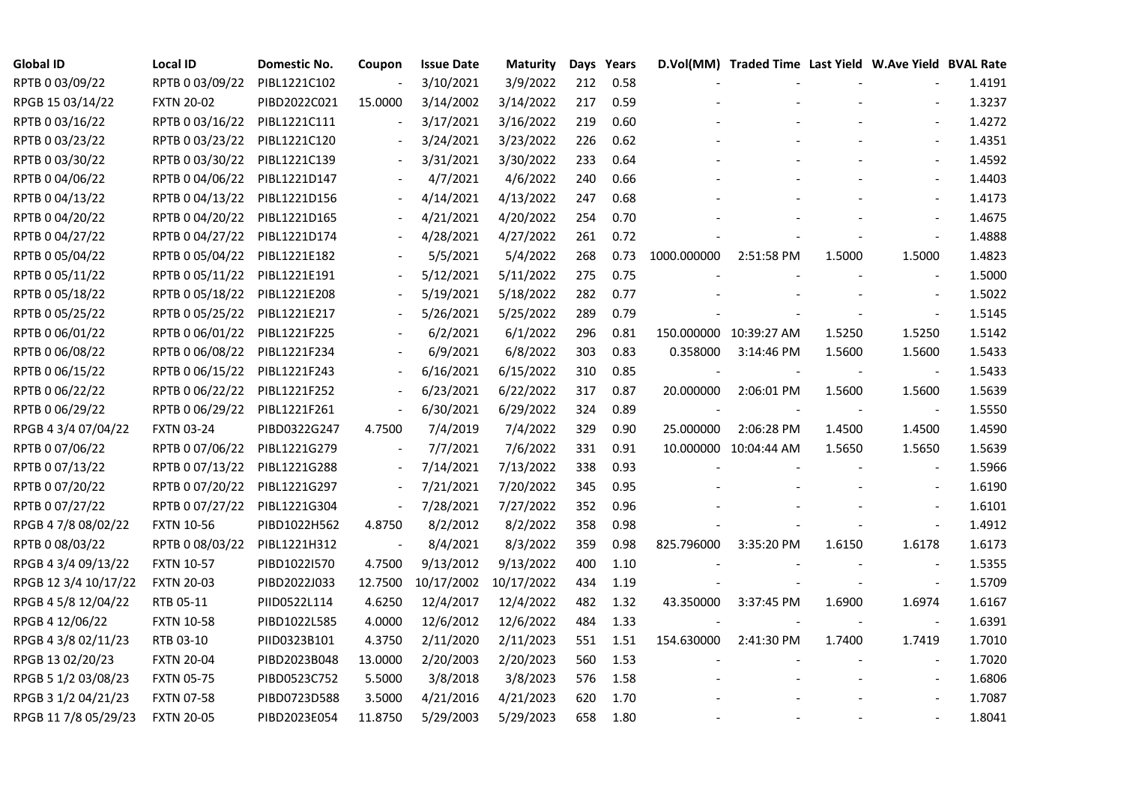| <b>Global ID</b>     | <b>Local ID</b>   | Domestic No. | Coupon                       | <b>Issue Date</b> | Maturity   |     | Days Years |             | D.Vol(MM) Traded Time Last Yield W.Ave Yield BVAL Rate |        |                          |        |
|----------------------|-------------------|--------------|------------------------------|-------------------|------------|-----|------------|-------------|--------------------------------------------------------|--------|--------------------------|--------|
| RPTB 0 03/09/22      | RPTB 0 03/09/22   | PIBL1221C102 | $\overline{\phantom{a}}$     | 3/10/2021         | 3/9/2022   | 212 | 0.58       |             |                                                        |        |                          | 1.4191 |
| RPGB 15 03/14/22     | <b>FXTN 20-02</b> | PIBD2022C021 | 15.0000                      | 3/14/2002         | 3/14/2022  | 217 | 0.59       |             |                                                        |        |                          | 1.3237 |
| RPTB 0 03/16/22      | RPTB 0 03/16/22   | PIBL1221C111 | $\overline{\phantom{a}}$     | 3/17/2021         | 3/16/2022  | 219 | 0.60       |             |                                                        |        | $\overline{\phantom{a}}$ | 1.4272 |
| RPTB 0 03/23/22      | RPTB 0 03/23/22   | PIBL1221C120 | $\overline{\phantom{a}}$     | 3/24/2021         | 3/23/2022  | 226 | 0.62       |             |                                                        |        | $\blacksquare$           | 1.4351 |
| RPTB 0 03/30/22      | RPTB 0 03/30/22   | PIBL1221C139 | $\blacksquare$               | 3/31/2021         | 3/30/2022  | 233 | 0.64       |             |                                                        |        | $\blacksquare$           | 1.4592 |
| RPTB 0 04/06/22      | RPTB 0 04/06/22   | PIBL1221D147 |                              | 4/7/2021          | 4/6/2022   | 240 | 0.66       |             |                                                        |        |                          | 1.4403 |
| RPTB 0 04/13/22      | RPTB 0 04/13/22   | PIBL1221D156 |                              | 4/14/2021         | 4/13/2022  | 247 | 0.68       |             |                                                        |        | $\blacksquare$           | 1.4173 |
| RPTB 0 04/20/22      | RPTB 0 04/20/22   | PIBL1221D165 |                              | 4/21/2021         | 4/20/2022  | 254 | 0.70       |             |                                                        |        | $\blacksquare$           | 1.4675 |
| RPTB 0 04/27/22      | RPTB 0 04/27/22   | PIBL1221D174 |                              | 4/28/2021         | 4/27/2022  | 261 | 0.72       |             |                                                        |        | $\overline{\phantom{a}}$ | 1.4888 |
| RPTB 0 05/04/22      | RPTB 0 05/04/22   | PIBL1221E182 |                              | 5/5/2021          | 5/4/2022   | 268 | 0.73       | 1000.000000 | 2:51:58 PM                                             | 1.5000 | 1.5000                   | 1.4823 |
| RPTB 0 05/11/22      | RPTB 0 05/11/22   | PIBL1221E191 | $\overline{\phantom{a}}$     | 5/12/2021         | 5/11/2022  | 275 | 0.75       |             |                                                        |        | $\overline{\phantom{a}}$ | 1.5000 |
| RPTB 0 05/18/22      | RPTB 0 05/18/22   | PIBL1221E208 |                              | 5/19/2021         | 5/18/2022  | 282 | 0.77       |             |                                                        |        |                          | 1.5022 |
| RPTB 0 05/25/22      | RPTB 0 05/25/22   | PIBL1221E217 |                              | 5/26/2021         | 5/25/2022  | 289 | 0.79       |             |                                                        |        | $\blacksquare$           | 1.5145 |
| RPTB 0 06/01/22      | RPTB 0 06/01/22   | PIBL1221F225 |                              | 6/2/2021          | 6/1/2022   | 296 | 0.81       |             | 150.000000 10:39:27 AM                                 | 1.5250 | 1.5250                   | 1.5142 |
| RPTB 0 06/08/22      | RPTB 0 06/08/22   | PIBL1221F234 |                              | 6/9/2021          | 6/8/2022   | 303 | 0.83       | 0.358000    | 3:14:46 PM                                             | 1.5600 | 1.5600                   | 1.5433 |
| RPTB 0 06/15/22      | RPTB 0 06/15/22   | PIBL1221F243 |                              | 6/16/2021         | 6/15/2022  | 310 | 0.85       |             |                                                        |        |                          | 1.5433 |
| RPTB 0 06/22/22      | RPTB 0 06/22/22   | PIBL1221F252 | $\overline{\phantom{a}}$     | 6/23/2021         | 6/22/2022  | 317 | 0.87       | 20.000000   | 2:06:01 PM                                             | 1.5600 | 1.5600                   | 1.5639 |
| RPTB 0 06/29/22      | RPTB 0 06/29/22   | PIBL1221F261 | $\blacksquare$               | 6/30/2021         | 6/29/2022  | 324 | 0.89       |             |                                                        |        |                          | 1.5550 |
| RPGB 4 3/4 07/04/22  | <b>FXTN 03-24</b> | PIBD0322G247 | 4.7500                       | 7/4/2019          | 7/4/2022   | 329 | 0.90       | 25.000000   | 2:06:28 PM                                             | 1.4500 | 1.4500                   | 1.4590 |
| RPTB 0 07/06/22      | RPTB 0 07/06/22   | PIBL1221G279 |                              | 7/7/2021          | 7/6/2022   | 331 | 0.91       |             | 10.000000 10:04:44 AM                                  | 1.5650 | 1.5650                   | 1.5639 |
| RPTB 0 07/13/22      | RPTB 0 07/13/22   | PIBL1221G288 | $\overline{\phantom{a}}$     | 7/14/2021         | 7/13/2022  | 338 | 0.93       |             |                                                        |        | $\blacksquare$           | 1.5966 |
| RPTB 0 07/20/22      | RPTB 0 07/20/22   | PIBL1221G297 | $\overline{\phantom{a}}$     | 7/21/2021         | 7/20/2022  | 345 | 0.95       |             |                                                        |        | $\blacksquare$           | 1.6190 |
| RPTB 0 07/27/22      | RPTB 0 07/27/22   | PIBL1221G304 | $\qquad \qquad \blacksquare$ | 7/28/2021         | 7/27/2022  | 352 | 0.96       |             |                                                        |        |                          | 1.6101 |
| RPGB 4 7/8 08/02/22  | <b>FXTN 10-56</b> | PIBD1022H562 | 4.8750                       | 8/2/2012          | 8/2/2022   | 358 | 0.98       |             |                                                        |        | $\overline{\phantom{a}}$ | 1.4912 |
| RPTB 0 08/03/22      | RPTB 0 08/03/22   | PIBL1221H312 | $\overline{\phantom{a}}$     | 8/4/2021          | 8/3/2022   | 359 | 0.98       | 825.796000  | 3:35:20 PM                                             | 1.6150 | 1.6178                   | 1.6173 |
| RPGB 4 3/4 09/13/22  | <b>FXTN 10-57</b> | PIBD1022I570 | 4.7500                       | 9/13/2012         | 9/13/2022  | 400 | 1.10       |             |                                                        |        | $\overline{\phantom{a}}$ | 1.5355 |
| RPGB 12 3/4 10/17/22 | <b>FXTN 20-03</b> | PIBD2022J033 | 12.7500                      | 10/17/2002        | 10/17/2022 | 434 | 1.19       |             |                                                        |        | $\blacksquare$           | 1.5709 |
| RPGB 4 5/8 12/04/22  | RTB 05-11         | PIID0522L114 | 4.6250                       | 12/4/2017         | 12/4/2022  | 482 | 1.32       | 43.350000   | 3:37:45 PM                                             | 1.6900 | 1.6974                   | 1.6167 |
| RPGB 4 12/06/22      | <b>FXTN 10-58</b> | PIBD1022L585 | 4.0000                       | 12/6/2012         | 12/6/2022  | 484 | 1.33       |             |                                                        |        | $\overline{\phantom{a}}$ | 1.6391 |
| RPGB 4 3/8 02/11/23  | RTB 03-10         | PIID0323B101 | 4.3750                       | 2/11/2020         | 2/11/2023  | 551 | 1.51       | 154.630000  | 2:41:30 PM                                             | 1.7400 | 1.7419                   | 1.7010 |
| RPGB 13 02/20/23     | <b>FXTN 20-04</b> | PIBD2023B048 | 13.0000                      | 2/20/2003         | 2/20/2023  | 560 | 1.53       |             |                                                        |        | $\blacksquare$           | 1.7020 |
| RPGB 5 1/2 03/08/23  | <b>FXTN 05-75</b> | PIBD0523C752 | 5.5000                       | 3/8/2018          | 3/8/2023   | 576 | 1.58       |             |                                                        |        | $\overline{\phantom{a}}$ | 1.6806 |
| RPGB 3 1/2 04/21/23  | <b>FXTN 07-58</b> | PIBD0723D588 | 3.5000                       | 4/21/2016         | 4/21/2023  | 620 | 1.70       |             |                                                        |        |                          | 1.7087 |
| RPGB 11 7/8 05/29/23 | <b>FXTN 20-05</b> | PIBD2023E054 | 11.8750                      | 5/29/2003         | 5/29/2023  | 658 | 1.80       |             |                                                        |        | $\blacksquare$           | 1.8041 |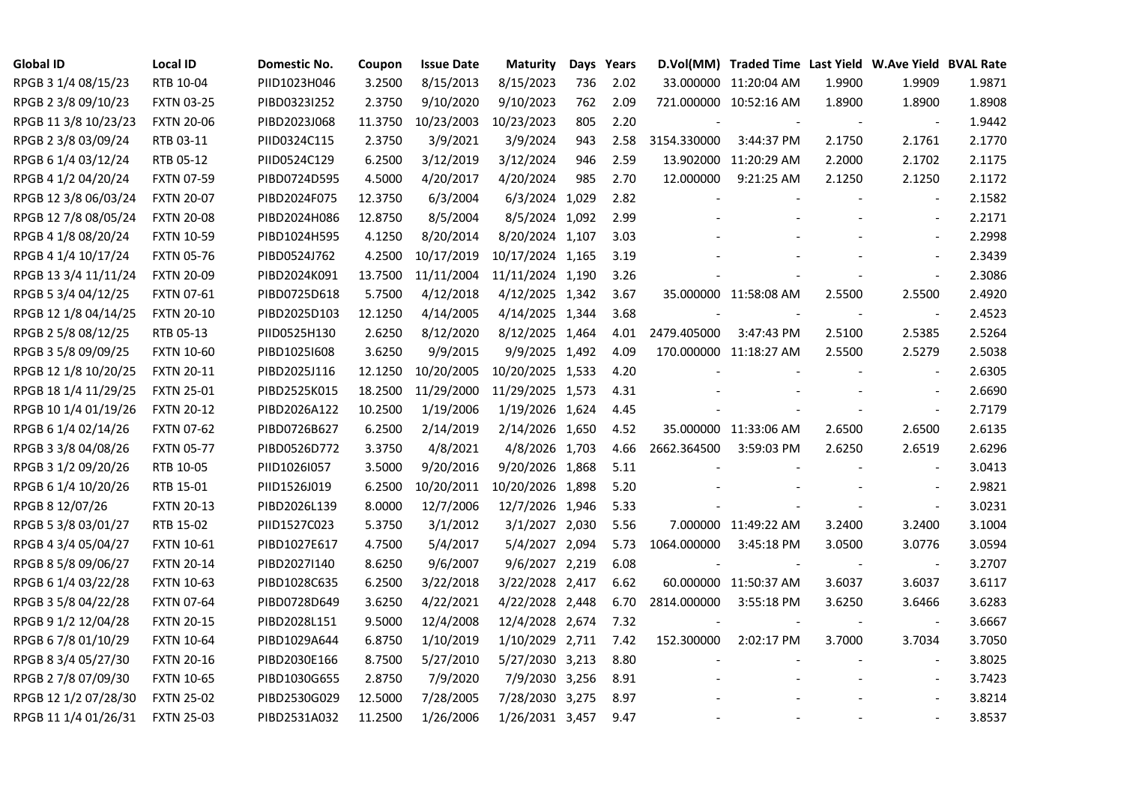| <b>Global ID</b>     | <b>Local ID</b>   | Domestic No. | Coupon  | <b>Issue Date</b> | <b>Maturity</b>  |     | Days Years |             | D.Vol(MM) Traded Time Last Yield W.Ave Yield BVAL Rate |                          |                          |        |
|----------------------|-------------------|--------------|---------|-------------------|------------------|-----|------------|-------------|--------------------------------------------------------|--------------------------|--------------------------|--------|
| RPGB 3 1/4 08/15/23  | RTB 10-04         | PIID1023H046 | 3.2500  | 8/15/2013         | 8/15/2023        | 736 | 2.02       |             | 33.000000 11:20:04 AM                                  | 1.9900                   | 1.9909                   | 1.9871 |
| RPGB 2 3/8 09/10/23  | <b>FXTN 03-25</b> | PIBD0323I252 | 2.3750  | 9/10/2020         | 9/10/2023        | 762 | 2.09       |             | 721.000000 10:52:16 AM                                 | 1.8900                   | 1.8900                   | 1.8908 |
| RPGB 11 3/8 10/23/23 | <b>FXTN 20-06</b> | PIBD2023J068 | 11.3750 | 10/23/2003        | 10/23/2023       | 805 | 2.20       |             |                                                        | $\sim$                   | $\blacksquare$           | 1.9442 |
| RPGB 2 3/8 03/09/24  | RTB 03-11         | PIID0324C115 | 2.3750  | 3/9/2021          | 3/9/2024         | 943 | 2.58       | 3154.330000 | 3:44:37 PM                                             | 2.1750                   | 2.1761                   | 2.1770 |
| RPGB 6 1/4 03/12/24  | RTB 05-12         | PIID0524C129 | 6.2500  | 3/12/2019         | 3/12/2024        | 946 | 2.59       |             | 13.902000 11:20:29 AM                                  | 2.2000                   | 2.1702                   | 2.1175 |
| RPGB 4 1/2 04/20/24  | <b>FXTN 07-59</b> | PIBD0724D595 | 4.5000  | 4/20/2017         | 4/20/2024        | 985 | 2.70       | 12.000000   | 9:21:25 AM                                             | 2.1250                   | 2.1250                   | 2.1172 |
| RPGB 12 3/8 06/03/24 | <b>FXTN 20-07</b> | PIBD2024F075 | 12.3750 | 6/3/2004          | 6/3/2024 1,029   |     | 2.82       |             |                                                        |                          | $\blacksquare$           | 2.1582 |
| RPGB 12 7/8 08/05/24 | <b>FXTN 20-08</b> | PIBD2024H086 | 12.8750 | 8/5/2004          | 8/5/2024 1,092   |     | 2.99       |             |                                                        |                          | $\sim$                   | 2.2171 |
| RPGB 4 1/8 08/20/24  | <b>FXTN 10-59</b> | PIBD1024H595 | 4.1250  | 8/20/2014         | 8/20/2024 1,107  |     | 3.03       |             |                                                        |                          |                          | 2.2998 |
| RPGB 4 1/4 10/17/24  | <b>FXTN 05-76</b> | PIBD0524J762 | 4.2500  | 10/17/2019        | 10/17/2024 1,165 |     | 3.19       |             |                                                        |                          | $\overline{\phantom{a}}$ | 2.3439 |
| RPGB 13 3/4 11/11/24 | <b>FXTN 20-09</b> | PIBD2024K091 | 13.7500 | 11/11/2004        | 11/11/2024 1,190 |     | 3.26       |             |                                                        |                          | $\blacksquare$           | 2.3086 |
| RPGB 5 3/4 04/12/25  | <b>FXTN 07-61</b> | PIBD0725D618 | 5.7500  | 4/12/2018         | 4/12/2025 1,342  |     | 3.67       |             | 35.000000 11:58:08 AM                                  | 2.5500                   | 2.5500                   | 2.4920 |
| RPGB 12 1/8 04/14/25 | <b>FXTN 20-10</b> | PIBD2025D103 | 12.1250 | 4/14/2005         | 4/14/2025 1,344  |     | 3.68       |             |                                                        |                          | $\blacksquare$           | 2.4523 |
| RPGB 2 5/8 08/12/25  | RTB 05-13         | PIID0525H130 | 2.6250  | 8/12/2020         | 8/12/2025 1,464  |     | 4.01       | 2479.405000 | 3:47:43 PM                                             | 2.5100                   | 2.5385                   | 2.5264 |
| RPGB 3 5/8 09/09/25  | <b>FXTN 10-60</b> | PIBD10251608 | 3.6250  | 9/9/2015          | 9/9/2025 1,492   |     | 4.09       |             | 170.000000 11:18:27 AM                                 | 2.5500                   | 2.5279                   | 2.5038 |
| RPGB 12 1/8 10/20/25 | <b>FXTN 20-11</b> | PIBD2025J116 | 12.1250 | 10/20/2005        | 10/20/2025 1,533 |     | 4.20       |             |                                                        |                          |                          | 2.6305 |
| RPGB 18 1/4 11/29/25 | <b>FXTN 25-01</b> | PIBD2525K015 | 18.2500 | 11/29/2000        | 11/29/2025 1,573 |     | 4.31       |             |                                                        |                          | $\sim$                   | 2.6690 |
| RPGB 10 1/4 01/19/26 | <b>FXTN 20-12</b> | PIBD2026A122 | 10.2500 | 1/19/2006         | 1/19/2026 1,624  |     | 4.45       |             |                                                        |                          | $\blacksquare$           | 2.7179 |
| RPGB 6 1/4 02/14/26  | <b>FXTN 07-62</b> | PIBD0726B627 | 6.2500  | 2/14/2019         | 2/14/2026 1,650  |     | 4.52       |             | 35.000000 11:33:06 AM                                  | 2.6500                   | 2.6500                   | 2.6135 |
| RPGB 3 3/8 04/08/26  | <b>FXTN 05-77</b> | PIBD0526D772 | 3.3750  | 4/8/2021          | 4/8/2026 1,703   |     | 4.66       | 2662.364500 | 3:59:03 PM                                             | 2.6250                   | 2.6519                   | 2.6296 |
| RPGB 3 1/2 09/20/26  | RTB 10-05         | PIID1026I057 | 3.5000  | 9/20/2016         | 9/20/2026 1,868  |     | 5.11       |             |                                                        |                          | $\blacksquare$           | 3.0413 |
| RPGB 6 1/4 10/20/26  | RTB 15-01         | PIID1526J019 | 6.2500  | 10/20/2011        | 10/20/2026 1,898 |     | 5.20       |             |                                                        |                          | $\sim$                   | 2.9821 |
| RPGB 8 12/07/26      | <b>FXTN 20-13</b> | PIBD2026L139 | 8.0000  | 12/7/2006         | 12/7/2026 1,946  |     | 5.33       |             |                                                        |                          | $\overline{\phantom{a}}$ | 3.0231 |
| RPGB 5 3/8 03/01/27  | RTB 15-02         | PIID1527C023 | 5.3750  | 3/1/2012          | 3/1/2027 2,030   |     | 5.56       |             | 7.000000 11:49:22 AM                                   | 3.2400                   | 3.2400                   | 3.1004 |
| RPGB 4 3/4 05/04/27  | <b>FXTN 10-61</b> | PIBD1027E617 | 4.7500  | 5/4/2017          | 5/4/2027 2,094   |     | 5.73       | 1064.000000 | 3:45:18 PM                                             | 3.0500                   | 3.0776                   | 3.0594 |
| RPGB 8 5/8 09/06/27  | <b>FXTN 20-14</b> | PIBD2027I140 | 8.6250  | 9/6/2007          | 9/6/2027 2,219   |     | 6.08       |             |                                                        |                          | $\overline{\phantom{a}}$ | 3.2707 |
| RPGB 6 1/4 03/22/28  | <b>FXTN 10-63</b> | PIBD1028C635 | 6.2500  | 3/22/2018         | 3/22/2028 2,417  |     | 6.62       |             | 60.000000 11:50:37 AM                                  | 3.6037                   | 3.6037                   | 3.6117 |
| RPGB 3 5/8 04/22/28  | <b>FXTN 07-64</b> | PIBD0728D649 | 3.6250  | 4/22/2021         | 4/22/2028 2,448  |     | 6.70       | 2814.000000 | 3:55:18 PM                                             | 3.6250                   | 3.6466                   | 3.6283 |
| RPGB 9 1/2 12/04/28  | <b>FXTN 20-15</b> | PIBD2028L151 | 9.5000  | 12/4/2008         | 12/4/2028 2,674  |     | 7.32       |             |                                                        |                          | $\overline{\phantom{a}}$ | 3.6667 |
| RPGB 67/8 01/10/29   | <b>FXTN 10-64</b> | PIBD1029A644 | 6.8750  | 1/10/2019         | 1/10/2029 2,711  |     | 7.42       | 152.300000  | 2:02:17 PM                                             | 3.7000                   | 3.7034                   | 3.7050 |
| RPGB 8 3/4 05/27/30  | <b>FXTN 20-16</b> | PIBD2030E166 | 8.7500  | 5/27/2010         | 5/27/2030 3,213  |     | 8.80       |             |                                                        |                          | $\blacksquare$           | 3.8025 |
| RPGB 2 7/8 07/09/30  | <b>FXTN 10-65</b> | PIBD1030G655 | 2.8750  | 7/9/2020          | 7/9/2030 3,256   |     | 8.91       |             |                                                        |                          | $\overline{\phantom{a}}$ | 3.7423 |
| RPGB 12 1/2 07/28/30 | <b>FXTN 25-02</b> | PIBD2530G029 | 12.5000 | 7/28/2005         | 7/28/2030 3,275  |     | 8.97       |             |                                                        |                          |                          | 3.8214 |
| RPGB 11 1/4 01/26/31 | <b>FXTN 25-03</b> | PIBD2531A032 | 11.2500 | 1/26/2006         | 1/26/2031 3,457  |     | 9.47       |             |                                                        | $\overline{\phantom{a}}$ | $\blacksquare$           | 3.8537 |